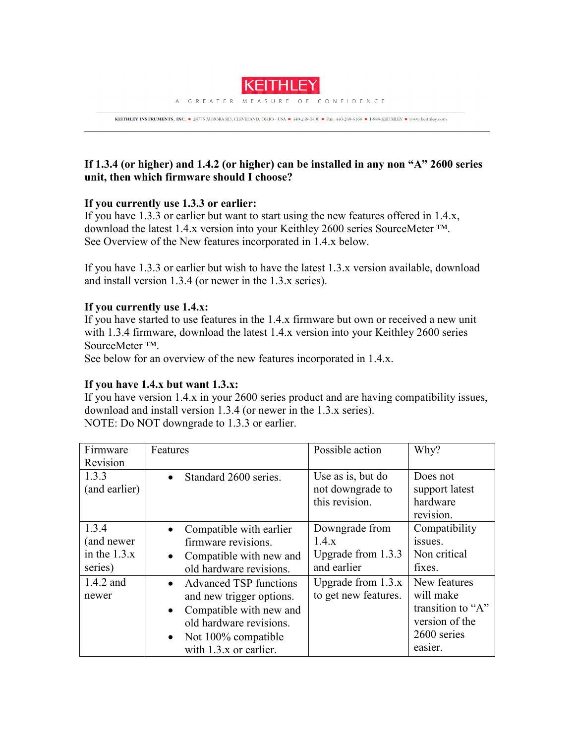

KEITHLEY INSTRUMENTS, INC. = 28775 AURORA RD, CLEVELAND, OHIO - USA = 440-248-0400 = Fax: 440-248-6168 = 1-888-KEITHLEY = www.keithley.com

# **If 1.3.4 (or higher) and 1.4.2 (or higher) can be installed in any non "A" 2600 series unit, then which firmware should I choose?**

## **If you currently use 1.3.3 or earlier:**

If you have 1.3.3 or earlier but want to start using the new features offered in 1.4.x, download the latest 1.4.x version into your Keithley 2600 series SourceMeter ™. See Overview of the New features incorporated in 1.4.x below.

If you have 1.3.3 or earlier but wish to have the latest 1.3.x version available, download and install version 1.3.4 (or newer in the 1.3.x series).

# **If you currently use 1.4.x:**

If you have started to use features in the 1.4.x firmware but own or received a new unit with 1.3.4 firmware, download the latest 1.4.x version into your Keithley 2600 series SourceMeter ™.

See below for an overview of the new features incorporated in 1.4.x.

## **If you have 1.4.x but want 1.3.x:**

If you have version 1.4.x in your 2600 series product and are having compatibility issues, download and install version 1.3.4 (or newer in the 1.3.x series). NOTE: Do NOT downgrade to 1.3.3 or earlier.

| Firmware                                         | Features                                                                                                                                                                                                  | Possible action                                              | Why?                                                                                       |
|--------------------------------------------------|-----------------------------------------------------------------------------------------------------------------------------------------------------------------------------------------------------------|--------------------------------------------------------------|--------------------------------------------------------------------------------------------|
| Revision                                         |                                                                                                                                                                                                           |                                                              |                                                                                            |
| 1.3.3<br>(and earlier)                           | Standard 2600 series.<br>$\bullet$                                                                                                                                                                        | Use as is, but do<br>not downgrade to<br>this revision.      | Does not<br>support latest<br>hardware<br>revision.                                        |
| 1.3.4<br>(and newer<br>in the $1.3.x$<br>series) | Compatible with earlier<br>$\bullet$<br>firmware revisions.<br>Compatible with new and<br>$\bullet$<br>old hardware revisions.                                                                            | Downgrade from<br>1.4.x<br>Upgrade from 1.3.3<br>and earlier | Compatibility<br>issues.<br>Non critical<br>fixes.                                         |
| 1.4.2 and<br>newer                               | <b>Advanced TSP functions</b><br>$\bullet$<br>and new trigger options.<br>Compatible with new and<br>$\bullet$<br>old hardware revisions.<br>Not 100% compatible<br>$\bullet$<br>with $1.3.x$ or earlier. | Upgrade from $1.3.x$<br>to get new features.                 | New features<br>will make<br>transition to "A"<br>version of the<br>2600 series<br>easier. |